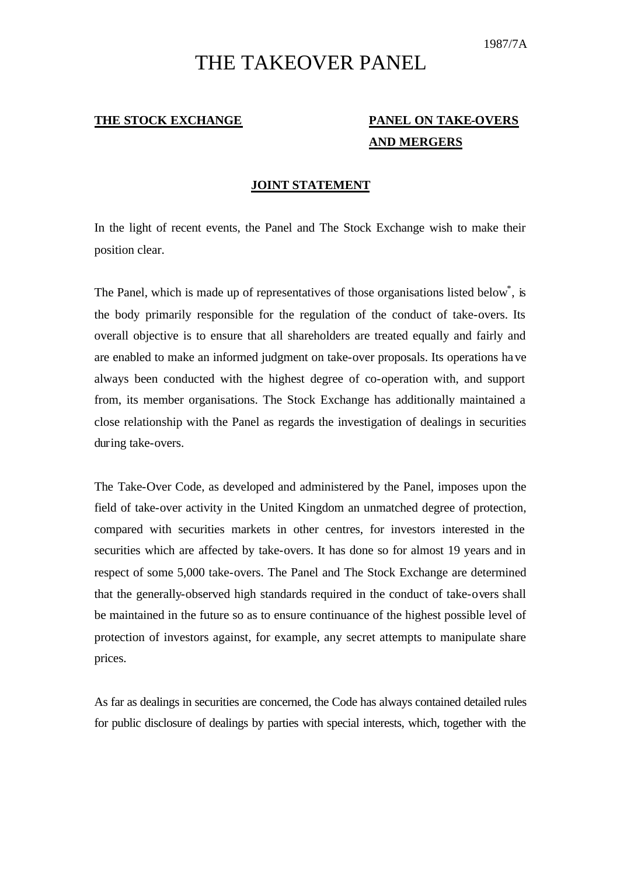## THE TAKEOVER PANEL

## **THE STOCK EXCHANGE PANEL ON TAKE-OVERS**

## **AND MERGERS**

## **JOINT STATEMENT**

In the light of recent events, the Panel and The Stock Exchange wish to make their position clear.

The Panel, which is made up of representatives of those organisations listed below<sup>\*</sup>, is the body primarily responsible for the regulation of the conduct of take-overs. Its overall objective is to ensure that all shareholders are treated equally and fairly and are enabled to make an informed judgment on take-over proposals. Its operations have always been conducted with the highest degree of co-operation with, and support from, its member organisations. The Stock Exchange has additionally maintained a close relationship with the Panel as regards the investigation of dealings in securities during take-overs.

The Take-Over Code, as developed and administered by the Panel, imposes upon the field of take-over activity in the United Kingdom an unmatched degree of protection, compared with securities markets in other centres, for investors interested in the securities which are affected by take-overs. It has done so for almost 19 years and in respect of some 5,000 take-overs. The Panel and The Stock Exchange are determined that the generally-observed high standards required in the conduct of take-overs shall be maintained in the future so as to ensure continuance of the highest possible level of protection of investors against, for example, any secret attempts to manipulate share prices.

As far as dealings in securities are concerned, the Code has always contained detailed rules for public disclosure of dealings by parties with special interests, which, together with the